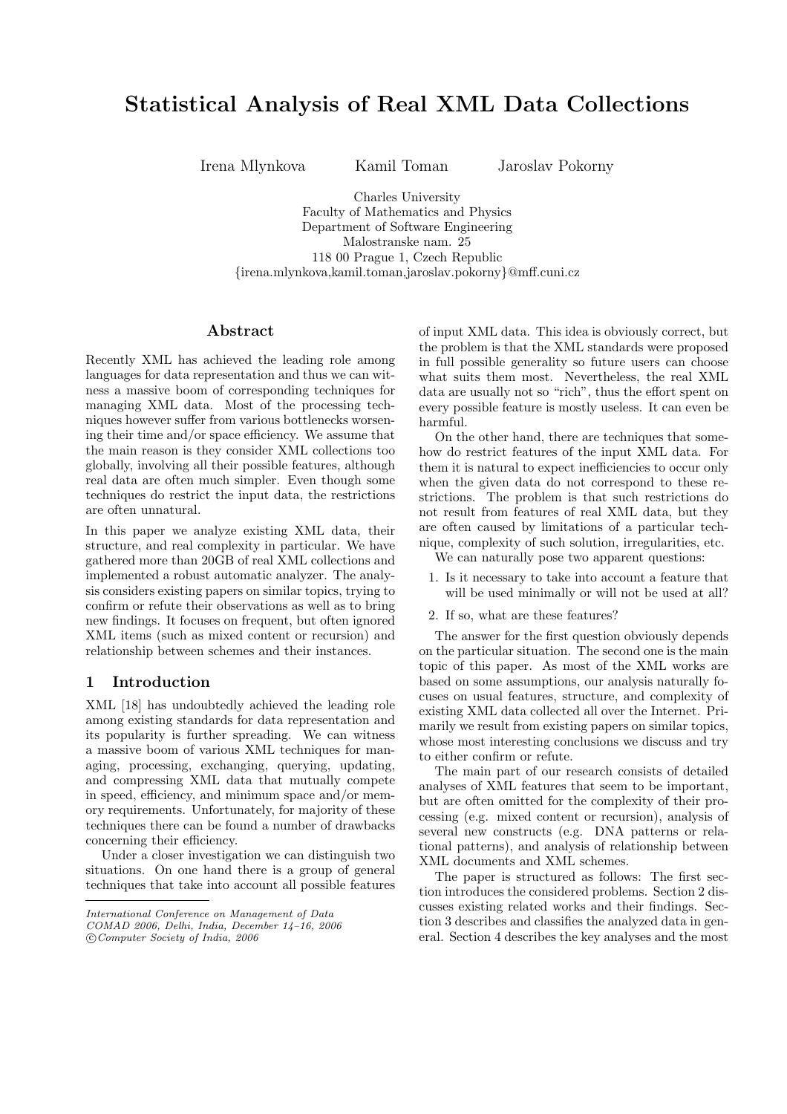# Statistical Analysis of Real XML Data Collections

Irena Mlynkova Kamil Toman Jaroslav Pokorny

Charles University Faculty of Mathematics and Physics Department of Software Engineering Malostranske nam. 25 118 00 Prague 1, Czech Republic {irena.mlynkova,kamil.toman,jaroslav.pokorny}@mff.cuni.cz

# Abstract

Recently XML has achieved the leading role among languages for data representation and thus we can witness a massive boom of corresponding techniques for managing XML data. Most of the processing techniques however suffer from various bottlenecks worsening their time and/or space efficiency. We assume that the main reason is they consider XML collections too globally, involving all their possible features, although real data are often much simpler. Even though some techniques do restrict the input data, the restrictions are often unnatural.

In this paper we analyze existing XML data, their structure, and real complexity in particular. We have gathered more than 20GB of real XML collections and implemented a robust automatic analyzer. The analysis considers existing papers on similar topics, trying to confirm or refute their observations as well as to bring new findings. It focuses on frequent, but often ignored XML items (such as mixed content or recursion) and relationship between schemes and their instances.

# 1 Introduction

XML [18] has undoubtedly achieved the leading role among existing standards for data representation and its popularity is further spreading. We can witness a massive boom of various XML techniques for managing, processing, exchanging, querying, updating, and compressing XML data that mutually compete in speed, efficiency, and minimum space and/or memory requirements. Unfortunately, for majority of these techniques there can be found a number of drawbacks concerning their efficiency.

Under a closer investigation we can distinguish two situations. On one hand there is a group of general techniques that take into account all possible features

of input XML data. This idea is obviously correct, but the problem is that the XML standards were proposed in full possible generality so future users can choose what suits them most. Nevertheless, the real XML data are usually not so "rich", thus the effort spent on every possible feature is mostly useless. It can even be harmful.

On the other hand, there are techniques that somehow do restrict features of the input XML data. For them it is natural to expect inefficiencies to occur only when the given data do not correspond to these restrictions. The problem is that such restrictions do not result from features of real XML data, but they are often caused by limitations of a particular technique, complexity of such solution, irregularities, etc.

We can naturally pose two apparent questions:

- 1. Is it necessary to take into account a feature that will be used minimally or will not be used at all?
- 2. If so, what are these features?

The answer for the first question obviously depends on the particular situation. The second one is the main topic of this paper. As most of the XML works are based on some assumptions, our analysis naturally focuses on usual features, structure, and complexity of existing XML data collected all over the Internet. Primarily we result from existing papers on similar topics, whose most interesting conclusions we discuss and try to either confirm or refute.

The main part of our research consists of detailed analyses of XML features that seem to be important, but are often omitted for the complexity of their processing (e.g. mixed content or recursion), analysis of several new constructs (e.g. DNA patterns or relational patterns), and analysis of relationship between XML documents and XML schemes.

The paper is structured as follows: The first section introduces the considered problems. Section 2 discusses existing related works and their findings. Section 3 describes and classifies the analyzed data in general. Section 4 describes the key analyses and the most

International Conference on Management of Data COMAD 2006, Delhi, India, December 14–16, 2006 °c Computer Society of India, 2006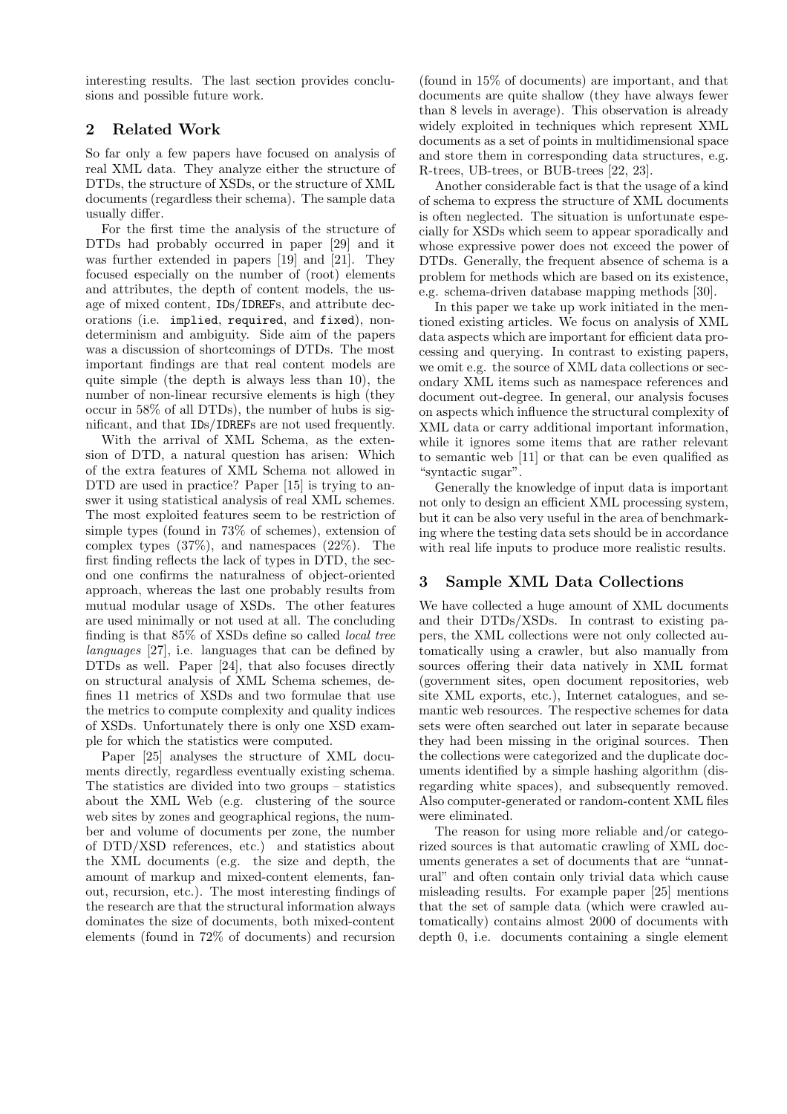interesting results. The last section provides conclusions and possible future work.

# 2 Related Work

So far only a few papers have focused on analysis of real XML data. They analyze either the structure of DTDs, the structure of XSDs, or the structure of XML documents (regardless their schema). The sample data usually differ.

For the first time the analysis of the structure of DTDs had probably occurred in paper [29] and it was further extended in papers [19] and [21]. They focused especially on the number of (root) elements and attributes, the depth of content models, the usage of mixed content, IDs/IDREFs, and attribute decorations (i.e. implied, required, and fixed), nondeterminism and ambiguity. Side aim of the papers was a discussion of shortcomings of DTDs. The most important findings are that real content models are quite simple (the depth is always less than 10), the number of non-linear recursive elements is high (they occur in 58% of all DTDs), the number of hubs is significant, and that IDs/IDREFs are not used frequently.

With the arrival of XML Schema, as the extension of DTD, a natural question has arisen: Which of the extra features of XML Schema not allowed in DTD are used in practice? Paper [15] is trying to answer it using statistical analysis of real XML schemes. The most exploited features seem to be restriction of simple types (found in 73% of schemes), extension of complex types (37%), and namespaces (22%). The first finding reflects the lack of types in DTD, the second one confirms the naturalness of object-oriented approach, whereas the last one probably results from mutual modular usage of XSDs. The other features are used minimally or not used at all. The concluding finding is that 85% of XSDs define so called local tree languages [27], i.e. languages that can be defined by DTDs as well. Paper [24], that also focuses directly on structural analysis of XML Schema schemes, defines 11 metrics of XSDs and two formulae that use the metrics to compute complexity and quality indices of XSDs. Unfortunately there is only one XSD example for which the statistics were computed.

Paper [25] analyses the structure of XML documents directly, regardless eventually existing schema. The statistics are divided into two groups – statistics about the XML Web (e.g. clustering of the source web sites by zones and geographical regions, the number and volume of documents per zone, the number of DTD/XSD references, etc.) and statistics about the XML documents (e.g. the size and depth, the amount of markup and mixed-content elements, fanout, recursion, etc.). The most interesting findings of the research are that the structural information always dominates the size of documents, both mixed-content elements (found in 72% of documents) and recursion

(found in 15% of documents) are important, and that documents are quite shallow (they have always fewer than 8 levels in average). This observation is already widely exploited in techniques which represent XML documents as a set of points in multidimensional space and store them in corresponding data structures, e.g. R-trees, UB-trees, or BUB-trees [22, 23].

Another considerable fact is that the usage of a kind of schema to express the structure of XML documents is often neglected. The situation is unfortunate especially for XSDs which seem to appear sporadically and whose expressive power does not exceed the power of DTDs. Generally, the frequent absence of schema is a problem for methods which are based on its existence, e.g. schema-driven database mapping methods [30].

In this paper we take up work initiated in the mentioned existing articles. We focus on analysis of XML data aspects which are important for efficient data processing and querying. In contrast to existing papers, we omit e.g. the source of XML data collections or secondary XML items such as namespace references and document out-degree. In general, our analysis focuses on aspects which influence the structural complexity of XML data or carry additional important information, while it ignores some items that are rather relevant to semantic web [11] or that can be even qualified as "syntactic sugar".

Generally the knowledge of input data is important not only to design an efficient XML processing system, but it can be also very useful in the area of benchmarking where the testing data sets should be in accordance with real life inputs to produce more realistic results.

# 3 Sample XML Data Collections

We have collected a huge amount of XML documents and their DTDs/XSDs. In contrast to existing papers, the XML collections were not only collected automatically using a crawler, but also manually from sources offering their data natively in XML format (government sites, open document repositories, web site XML exports, etc.), Internet catalogues, and semantic web resources. The respective schemes for data sets were often searched out later in separate because they had been missing in the original sources. Then the collections were categorized and the duplicate documents identified by a simple hashing algorithm (disregarding white spaces), and subsequently removed. Also computer-generated or random-content XML files were eliminated.

The reason for using more reliable and/or categorized sources is that automatic crawling of XML documents generates a set of documents that are "unnatural" and often contain only trivial data which cause misleading results. For example paper [25] mentions that the set of sample data (which were crawled automatically) contains almost 2000 of documents with depth 0, i.e. documents containing a single element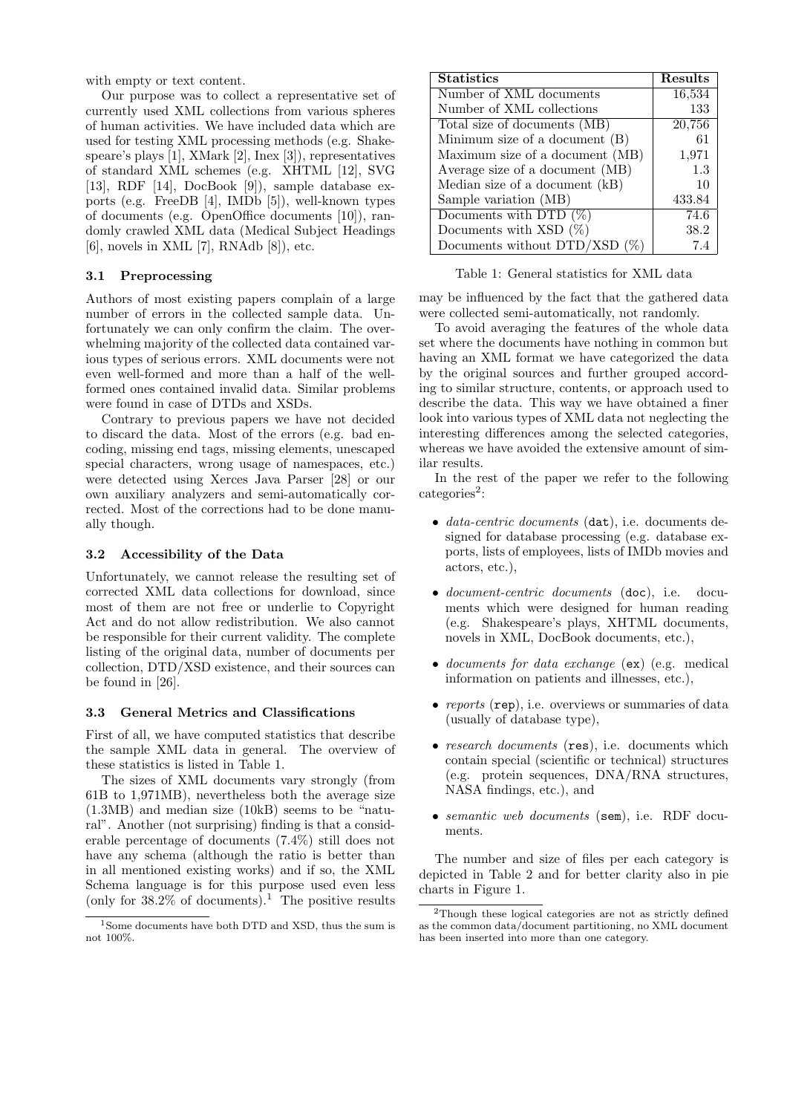with empty or text content.

Our purpose was to collect a representative set of currently used XML collections from various spheres of human activities. We have included data which are used for testing XML processing methods (e.g. Shakespeare's plays [1], XMark [2], Inex [3]), representatives of standard XML schemes (e.g. XHTML [12], SVG [13], RDF [14], DocBook [9]), sample database exports (e.g. FreeDB [4], IMDb [5]), well-known types of documents (e.g. OpenOffice documents [10]), randomly crawled XML data (Medical Subject Headings [6], novels in XML [7], RNAdb [8]), etc.

#### 3.1 Preprocessing

Authors of most existing papers complain of a large number of errors in the collected sample data. Unfortunately we can only confirm the claim. The overwhelming majority of the collected data contained various types of serious errors. XML documents were not even well-formed and more than a half of the wellformed ones contained invalid data. Similar problems were found in case of DTDs and XSDs.

Contrary to previous papers we have not decided to discard the data. Most of the errors (e.g. bad encoding, missing end tags, missing elements, unescaped special characters, wrong usage of namespaces, etc.) were detected using Xerces Java Parser [28] or our own auxiliary analyzers and semi-automatically corrected. Most of the corrections had to be done manually though.

#### 3.2 Accessibility of the Data

Unfortunately, we cannot release the resulting set of corrected XML data collections for download, since most of them are not free or underlie to Copyright Act and do not allow redistribution. We also cannot be responsible for their current validity. The complete listing of the original data, number of documents per collection, DTD/XSD existence, and their sources can be found in [26].

#### 3.3 General Metrics and Classifications

First of all, we have computed statistics that describe the sample XML data in general. The overview of these statistics is listed in Table 1.

The sizes of XML documents vary strongly (from 61B to 1,971MB), nevertheless both the average size (1.3MB) and median size (10kB) seems to be "natural". Another (not surprising) finding is that a considerable percentage of documents (7.4%) still does not have any schema (although the ratio is better than in all mentioned existing works) and if so, the XML Schema language is for this purpose used even less (only for  $38.2\%$  of documents).<sup>1</sup> The positive results

| <b>Statistics</b>                      | Results |
|----------------------------------------|---------|
| Number of XML documents                | 16,534  |
| Number of XML collections              | 133     |
| Total size of documents (MB)           | 20,756  |
| Minimum size of a document (B)         | 61      |
| Maximum size of a document (MB)        | 1,971   |
| Average size of a document (MB)        | 1.3     |
| Median size of a document (kB)         | 10      |
| Sample variation (MB)                  | 433.84  |
| Documents with DTD $(\%)$              | 74.6    |
| Documents with XSD $(\%)$              | 38.2    |
| Documents without $\text{DTD/XSD}$ (%) | 7.4     |

Table 1: General statistics for XML data

may be influenced by the fact that the gathered data were collected semi-automatically, not randomly.

To avoid averaging the features of the whole data set where the documents have nothing in common but having an XML format we have categorized the data by the original sources and further grouped according to similar structure, contents, or approach used to describe the data. This way we have obtained a finer look into various types of XML data not neglecting the interesting differences among the selected categories, whereas we have avoided the extensive amount of similar results.

In the rest of the paper we refer to the following categories<sup>2</sup>:

- *data-centric documents* (dat), i.e. documents designed for database processing (e.g. database exports, lists of employees, lists of IMDb movies and actors, etc.),
- *document-centric documents* (doc), i.e. documents which were designed for human reading (e.g. Shakespeare's plays, XHTML documents, novels in XML, DocBook documents, etc.),
- documents for data exchange (ex) (e.g. medical information on patients and illnesses, etc.),
- reports (rep), i.e. overviews or summaries of data (usually of database type),
- research documents (res), i.e. documents which contain special (scientific or technical) structures (e.g. protein sequences, DNA/RNA structures, NASA findings, etc.), and
- semantic web documents (sem), i.e. RDF documents.

The number and size of files per each category is depicted in Table 2 and for better clarity also in pie charts in Figure 1.

<sup>1</sup>Some documents have both DTD and XSD, thus the sum is not 100%.

<sup>&</sup>lt;sup>2</sup>Though these logical categories are not as strictly defined as the common data/document partitioning, no XML document has been inserted into more than one category.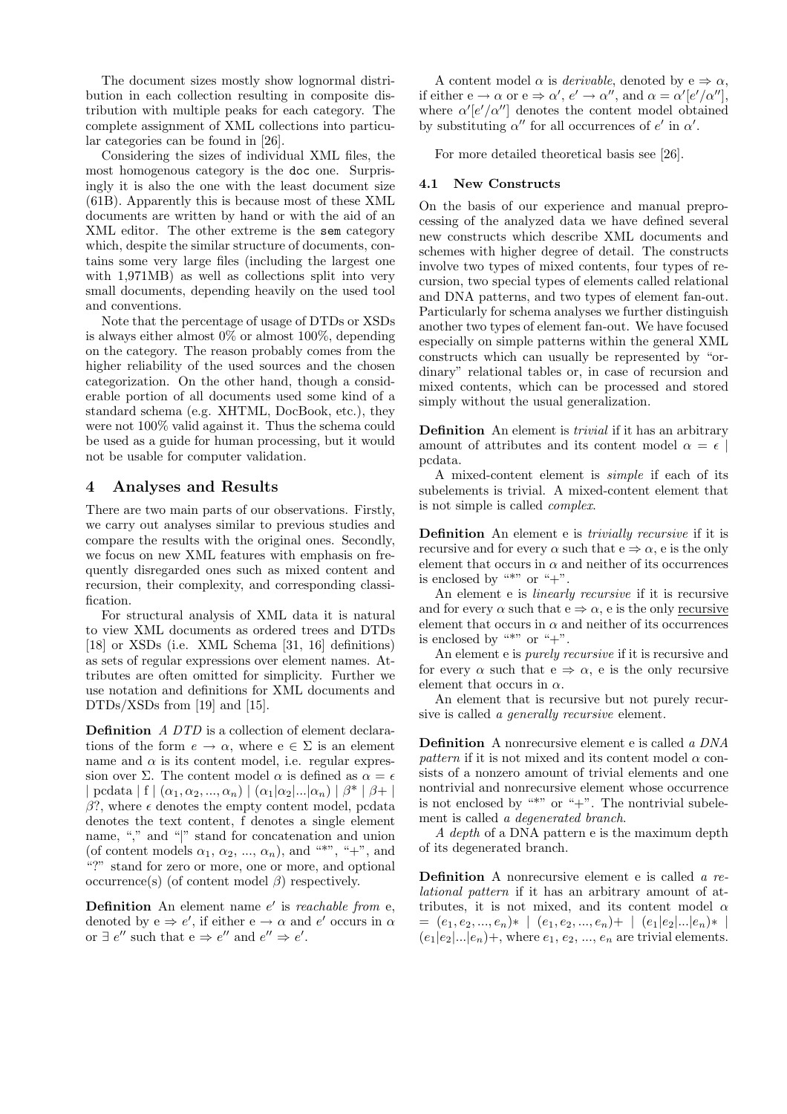The document sizes mostly show lognormal distribution in each collection resulting in composite distribution with multiple peaks for each category. The complete assignment of XML collections into particular categories can be found in [26].

Considering the sizes of individual XML files, the most homogenous category is the doc one. Surprisingly it is also the one with the least document size (61B). Apparently this is because most of these XML documents are written by hand or with the aid of an XML editor. The other extreme is the sem category which, despite the similar structure of documents, contains some very large files (including the largest one with 1,971MB) as well as collections split into very small documents, depending heavily on the used tool and conventions.

Note that the percentage of usage of DTDs or XSDs is always either almost 0% or almost 100%, depending on the category. The reason probably comes from the higher reliability of the used sources and the chosen categorization. On the other hand, though a considerable portion of all documents used some kind of a standard schema (e.g. XHTML, DocBook, etc.), they were not 100% valid against it. Thus the schema could be used as a guide for human processing, but it would not be usable for computer validation.

# 4 Analyses and Results

There are two main parts of our observations. Firstly, we carry out analyses similar to previous studies and compare the results with the original ones. Secondly, we focus on new XML features with emphasis on frequently disregarded ones such as mixed content and recursion, their complexity, and corresponding classification.

For structural analysis of XML data it is natural to view XML documents as ordered trees and DTDs [18] or XSDs (i.e. XML Schema [31, 16] definitions) as sets of regular expressions over element names. Attributes are often omitted for simplicity. Further we use notation and definitions for XML documents and DTDs/XSDs from [19] and [15].

Definition A DTD is a collection of element declarations of the form  $e \to \alpha$ , where  $e \in \Sigma$  is an element name and  $\alpha$  is its content model, i.e. regular expression over Σ. The content model  $\alpha$  is defined as  $\alpha = \epsilon$ | pcdata | f  $( \alpha_1, \alpha_2, ..., \alpha_n) | (\alpha_1 | \alpha_2 | ... | \alpha_n) | \beta^* | \beta^* |$  $β$ ?, where  $ε$  denotes the empty content model, pcdata denotes the text content, f denotes a single element name, "," and "|" stand for concatenation and union (of content models  $\alpha_1, \alpha_2, ..., \alpha_n$ ), and "\*", "+", and "?" stand for zero or more, one or more, and optional occurrence(s) (of content model  $\beta$ ) respectively.

**Definition** An element name  $e'$  is reachable from e, denoted by  $e \Rightarrow e'$ , if either  $e \rightarrow \alpha$  and  $e'$  occurs in  $\alpha$ or  $\exists e''$  such that  $e \Rightarrow e''$  and  $e'' \Rightarrow e'$ .

A content model  $\alpha$  is *derivable*, denoted by  $e \Rightarrow \alpha$ , if either  $e \to \alpha$  or  $e \Rightarrow \alpha', e' \to \alpha''$ , and  $\alpha = \alpha'[e'/\alpha'']$ , where  $\alpha' |e'/\alpha''|$  denotes the content model obtained by substituting  $\alpha''$  for all occurrences of e' in  $\alpha'$ .

For more detailed theoretical basis see [26].

## 4.1 New Constructs

On the basis of our experience and manual preprocessing of the analyzed data we have defined several new constructs which describe XML documents and schemes with higher degree of detail. The constructs involve two types of mixed contents, four types of recursion, two special types of elements called relational and DNA patterns, and two types of element fan-out. Particularly for schema analyses we further distinguish another two types of element fan-out. We have focused especially on simple patterns within the general XML constructs which can usually be represented by "ordinary" relational tables or, in case of recursion and mixed contents, which can be processed and stored simply without the usual generalization.

Definition An element is *trivial* if it has an arbitrary amount of attributes and its content model  $\alpha = \epsilon$ pcdata.

A mixed-content element is simple if each of its subelements is trivial. A mixed-content element that is not simple is called complex.

Definition An element e is *trivially recursive* if it is recursive and for every  $\alpha$  such that  $e \Rightarrow \alpha$ , e is the only element that occurs in  $\alpha$  and neither of its occurrences is enclosed by "\*" or " $+$ ".

An element e is linearly recursive if it is recursive and for every  $\alpha$  such that  $e \Rightarrow \alpha$ , e is the only recursive element that occurs in  $\alpha$  and neither of its occurrences is enclosed by "\*" or " $+$ ".

An element e is purely recursive if it is recursive and for every  $\alpha$  such that  $e \Rightarrow \alpha$ , e is the only recursive element that occurs in  $\alpha$ .

An element that is recursive but not purely recursive is called a *generally recursive* element.

Definition A nonrecursive element e is called a DNA pattern if it is not mixed and its content model  $\alpha$  consists of a nonzero amount of trivial elements and one nontrivial and nonrecursive element whose occurrence is not enclosed by "\*" or " $+$ ". The nontrivial subelement is called a degenerated branch.

A depth of a DNA pattern e is the maximum depth of its degenerated branch.

Definition A nonrecursive element e is called a relational pattern if it has an arbitrary amount of attributes, it is not mixed, and its content model  $\alpha$  $= (e_1, e_2, ..., e_n) * | (e_1, e_2, ..., e_n) + | (e_1|e_2|...|e_n) * |$  $(e_1|e_2|...|e_n)$ +, where  $e_1, e_2, ..., e_n$  are trivial elements.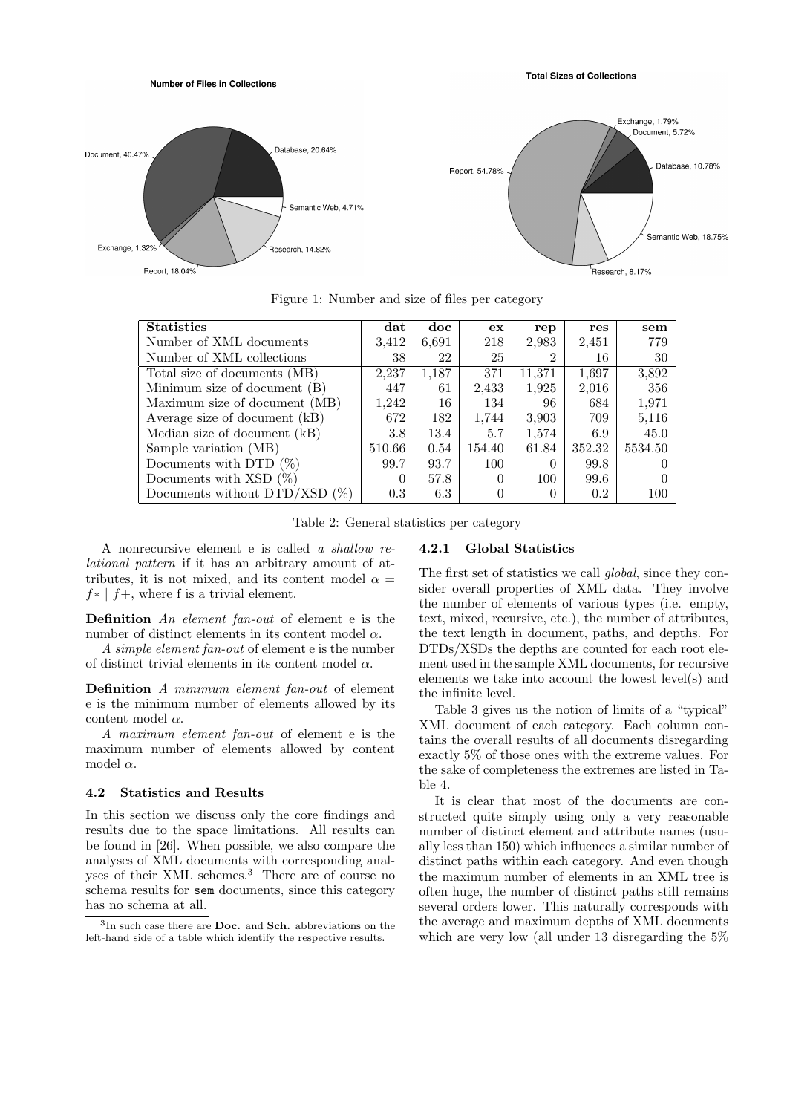**Total Sizes of Collections** 



Figure 1: Number and size of files per category

| <b>Statistics</b>               | dat          | doc   | ex     | rep    | res    | sem     |
|---------------------------------|--------------|-------|--------|--------|--------|---------|
| Number of XML documents         | 3,412        | 6.691 | 218    | 2,983  | 2,451  | 779     |
| Number of XML collections       | 38           | 22    | 25     |        | 16     | 30      |
| Total size of documents (MB)    | 2,237        | 1,187 | 371    | 11.371 | 1,697  | 3,892   |
| Minimum size of document (B)    | 447          | 61    | 2,433  | 1,925  | 2,016  | 356     |
| Maximum size of document (MB)   | 1,242        | 16    | 134    | 96     | 684    | 1,971   |
| Average size of document (kB)   | 672          | 182   | 1,744  | 3.903  | 709    | 5,116   |
| Median size of document (kB)    | 3.8          | 13.4  | 5.7    | 1,574  | 6.9    | 45.0    |
| Sample variation (MB)           | 510.66       | 0.54  | 154.40 | 61.84  | 352.32 | 5534.50 |
| Documents with DTD $(\%)$       | 99.7         | 93.7  | 100    | 0      | 99.8   |         |
| Documents with $XSD(\%)$        | $\mathbf{0}$ | 57.8  | 0      | 100    | 99.6   |         |
| Documents without $DTD/XSD$ (%) | 0.3          | 6.3   | 0      |        | 0.2    | 100     |

Table 2: General statistics per category

A nonrecursive element e is called a shallow relational pattern if it has an arbitrary amount of attributes, it is not mixed, and its content model  $\alpha =$  $f* | f+$ , where f is a trivial element.

Number of Files in Collections

Definition An element fan-out of element e is the number of distinct elements in its content model  $\alpha$ .

A simple element fan-out of element e is the number of distinct trivial elements in its content model  $\alpha$ .

Definition A minimum element fan-out of element e is the minimum number of elements allowed by its content model  $\alpha$ .

A maximum element fan-out of element e is the maximum number of elements allowed by content model  $\alpha$ .

#### 4.2 Statistics and Results

In this section we discuss only the core findings and results due to the space limitations. All results can be found in [26]. When possible, we also compare the analyses of XML documents with corresponding analyses of their XML schemes.<sup>3</sup> There are of course no schema results for sem documents, since this category has no schema at all.

#### 4.2.1 Global Statistics

The first set of statistics we call global, since they consider overall properties of XML data. They involve the number of elements of various types (i.e. empty, text, mixed, recursive, etc.), the number of attributes, the text length in document, paths, and depths. For DTDs/XSDs the depths are counted for each root element used in the sample XML documents, for recursive elements we take into account the lowest level(s) and the infinite level.

Table 3 gives us the notion of limits of a "typical" XML document of each category. Each column contains the overall results of all documents disregarding exactly 5% of those ones with the extreme values. For the sake of completeness the extremes are listed in Table 4.

It is clear that most of the documents are constructed quite simply using only a very reasonable number of distinct element and attribute names (usually less than 150) which influences a similar number of distinct paths within each category. And even though the maximum number of elements in an XML tree is often huge, the number of distinct paths still remains several orders lower. This naturally corresponds with the average and maximum depths of XML documents which are very low (all under 13 disregarding the 5%

<sup>&</sup>lt;sup>3</sup>In such case there are **Doc.** and **Sch.** abbreviations on the left-hand side of a table which identify the respective results.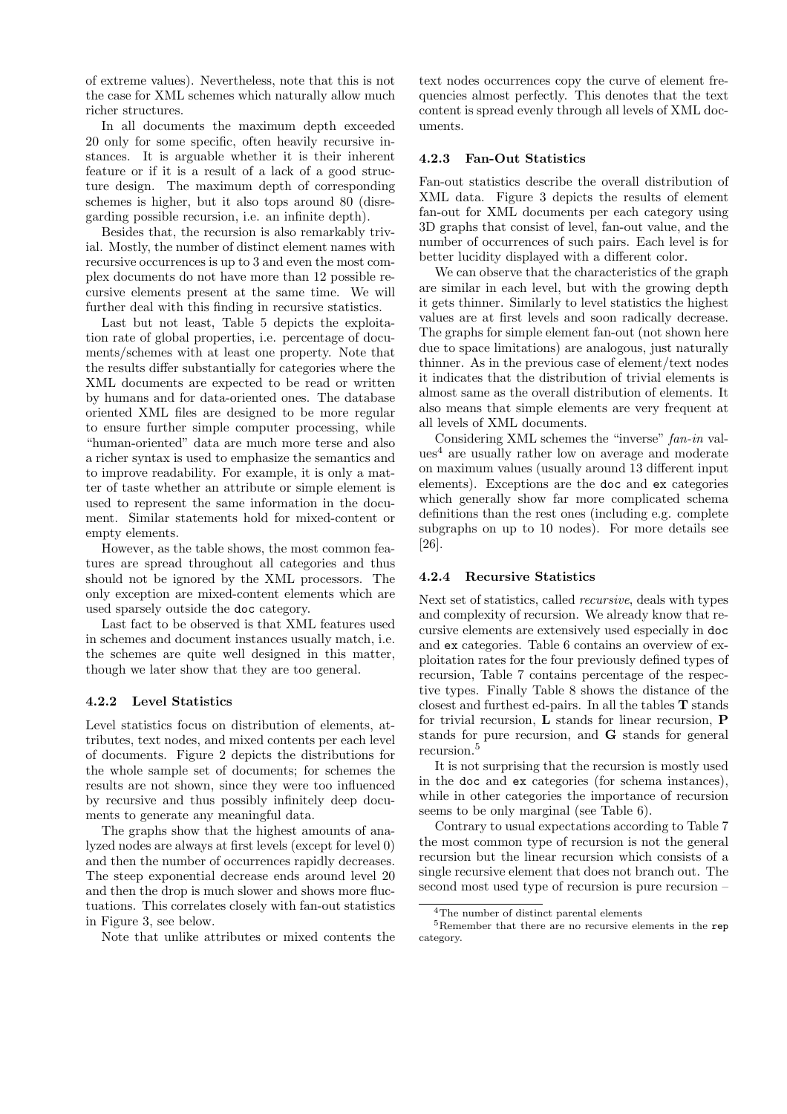of extreme values). Nevertheless, note that this is not the case for XML schemes which naturally allow much richer structures.

In all documents the maximum depth exceeded 20 only for some specific, often heavily recursive instances. It is arguable whether it is their inherent feature or if it is a result of a lack of a good structure design. The maximum depth of corresponding schemes is higher, but it also tops around 80 (disregarding possible recursion, i.e. an infinite depth).

Besides that, the recursion is also remarkably trivial. Mostly, the number of distinct element names with recursive occurrences is up to 3 and even the most complex documents do not have more than 12 possible recursive elements present at the same time. We will further deal with this finding in recursive statistics.

Last but not least, Table 5 depicts the exploitation rate of global properties, i.e. percentage of documents/schemes with at least one property. Note that the results differ substantially for categories where the XML documents are expected to be read or written by humans and for data-oriented ones. The database oriented XML files are designed to be more regular to ensure further simple computer processing, while "human-oriented" data are much more terse and also a richer syntax is used to emphasize the semantics and to improve readability. For example, it is only a matter of taste whether an attribute or simple element is used to represent the same information in the document. Similar statements hold for mixed-content or empty elements.

However, as the table shows, the most common features are spread throughout all categories and thus should not be ignored by the XML processors. The only exception are mixed-content elements which are used sparsely outside the doc category.

Last fact to be observed is that XML features used in schemes and document instances usually match, i.e. the schemes are quite well designed in this matter, though we later show that they are too general.

## 4.2.2 Level Statistics

Level statistics focus on distribution of elements, attributes, text nodes, and mixed contents per each level of documents. Figure 2 depicts the distributions for the whole sample set of documents; for schemes the results are not shown, since they were too influenced by recursive and thus possibly infinitely deep documents to generate any meaningful data.

The graphs show that the highest amounts of analyzed nodes are always at first levels (except for level 0) and then the number of occurrences rapidly decreases. The steep exponential decrease ends around level 20 and then the drop is much slower and shows more fluctuations. This correlates closely with fan-out statistics in Figure 3, see below.

Note that unlike attributes or mixed contents the

text nodes occurrences copy the curve of element frequencies almost perfectly. This denotes that the text content is spread evenly through all levels of XML documents.

#### 4.2.3 Fan-Out Statistics

Fan-out statistics describe the overall distribution of XML data. Figure 3 depicts the results of element fan-out for XML documents per each category using 3D graphs that consist of level, fan-out value, and the number of occurrences of such pairs. Each level is for better lucidity displayed with a different color.

We can observe that the characteristics of the graph are similar in each level, but with the growing depth it gets thinner. Similarly to level statistics the highest values are at first levels and soon radically decrease. The graphs for simple element fan-out (not shown here due to space limitations) are analogous, just naturally thinner. As in the previous case of element/text nodes it indicates that the distribution of trivial elements is almost same as the overall distribution of elements. It also means that simple elements are very frequent at all levels of XML documents.

Considering XML schemes the "inverse" fan-in val $ues<sup>4</sup>$  are usually rather low on average and moderate on maximum values (usually around 13 different input elements). Exceptions are the doc and ex categories which generally show far more complicated schema definitions than the rest ones (including e.g. complete subgraphs on up to 10 nodes). For more details see [26].

# 4.2.4 Recursive Statistics

Next set of statistics, called recursive, deals with types and complexity of recursion. We already know that recursive elements are extensively used especially in doc and ex categories. Table 6 contains an overview of exploitation rates for the four previously defined types of recursion, Table 7 contains percentage of the respective types. Finally Table 8 shows the distance of the closest and furthest ed-pairs. In all the tables T stands for trivial recursion,  $\bf{L}$  stands for linear recursion,  $\bf{P}$ stands for pure recursion, and G stands for general recursion.<sup>5</sup>

It is not surprising that the recursion is mostly used in the doc and ex categories (for schema instances), while in other categories the importance of recursion seems to be only marginal (see Table 6).

Contrary to usual expectations according to Table 7 the most common type of recursion is not the general recursion but the linear recursion which consists of a single recursive element that does not branch out. The second most used type of recursion is pure recursion –

<sup>4</sup>The number of distinct parental elements

<sup>5</sup>Remember that there are no recursive elements in the rep category.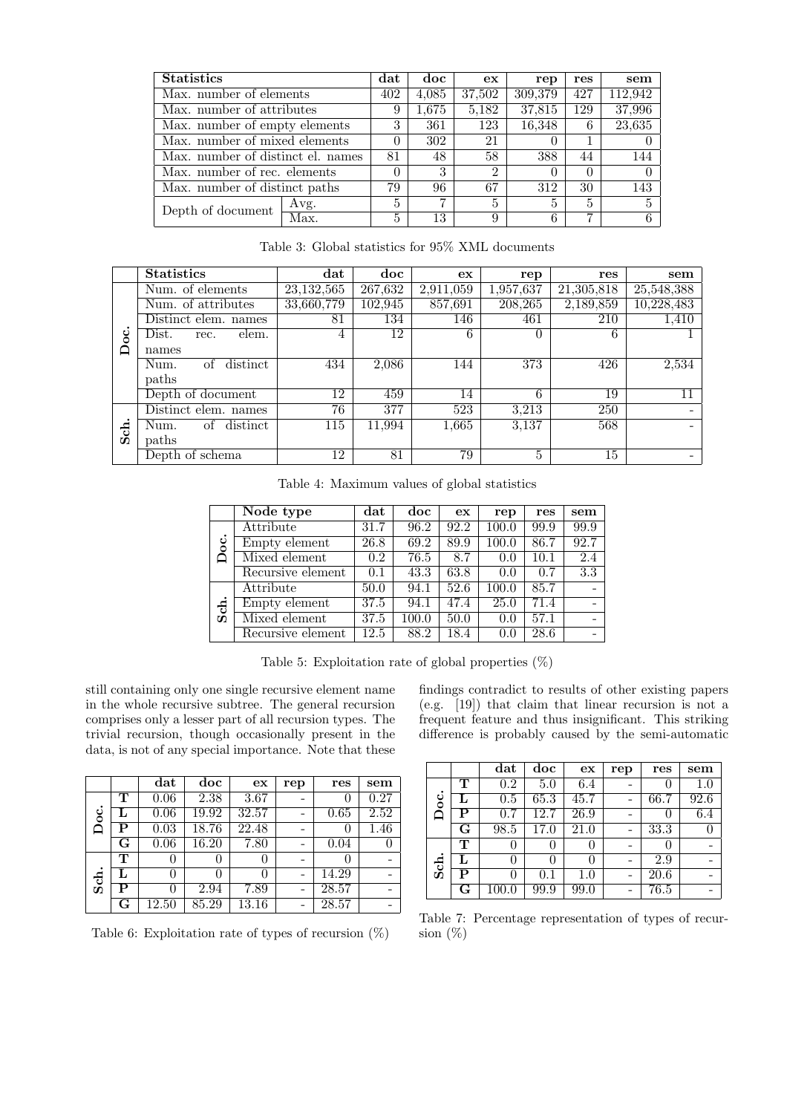| <b>Statistics</b>                 |      |       | doc    | ex             | rep    | res     | sem    |
|-----------------------------------|------|-------|--------|----------------|--------|---------|--------|
| Max. number of elements           | 402  | 4,085 | 37,502 | 309,379        | 427    | 112.942 |        |
| Max. number of attributes         |      |       | 1,675  | 5,182          | 37,815 | 129     | 37,996 |
| Max. number of empty elements     |      |       | 361    | 123            | 16,348 | 6       | 23,635 |
| Max. number of mixed elements     |      |       | 302    | 21             |        |         |        |
| Max. number of distinct el. names |      | 81    | 48     | 58             | 388    | 44      | 144    |
| Max. number of rec. elements      |      | 0     | 3      | $\overline{2}$ |        | 0       |        |
| Max. number of distinct paths     |      |       | 96     | 67             | 312    | 30      | 143    |
| Depth of document                 | Avg. | 5     | 7      | 5              | 5      | 5       | 5      |
|                                   | Max. | 5     | 13     | 9              |        |         | 6.     |

Table 3: Global statistics for 95% XML documents

|     | <b>Statistics</b>      | $_{\rm dat}$ | doc     | ex        | rep       | res        | sem        |
|-----|------------------------|--------------|---------|-----------|-----------|------------|------------|
|     | Num. of elements       | 23, 132, 565 | 267,632 | 2,911,059 | 1,957,637 | 21,305,818 | 25,548,388 |
|     | Num. of attributes     | 33,660,779   | 102,945 | 857,691   | 208,265   | 2,189,859  | 10,228,483 |
|     | Distinct elem. names   | 81           | 134     | 146       | 461       | 210        | 1,410      |
| °   | Dist.<br>elem.<br>rec. | 4            | 12      | 6         | $\Omega$  | 6          |            |
| ≏   | names                  |              |         |           |           |            |            |
|     | distinct<br>Num.<br>of | 434          | 2,086   | 144       | 373       | 426        | 2,534      |
|     | paths                  |              |         |           |           |            |            |
|     | Depth of document      | 12           | 459     | 14        | 6         | 19         |            |
|     | Distinct elem. names   | 76           | 377     | 523       | 3,213     | 250        |            |
| Sch | of distinct<br>Num.    | 115          | 11,994  | 1,665     | 3,137     | 568        |            |
|     | paths                  |              |         |           |           |            |            |
|     | Depth of schema        | 12           | 81      | 79        | 5         | 15         |            |

Table 4: Maximum values of global statistics

|           | Node type         | $_{\rm dat}$ | doc   | ex   | rep   | res  | sem                      |
|-----------|-------------------|--------------|-------|------|-------|------|--------------------------|
|           | Attribute         | 31.7         | 96.2  | 92.2 | 100.0 | 99.9 | 99.9                     |
| S         | Empty element     | 26.8         | 69.2  | 89.9 | 100.0 | 86.7 | 92.7                     |
| ≏         | Mixed element     | 0.2          | 76.5  | 8.7  | 0.0   | 10.1 | $\overline{2.4}$         |
|           | Recursive element | 0.1          | 43.3  | 63.8 | 0.0   | 0.7  | $\overline{3.3}$         |
|           | Attribute         | 50.0         | 94.1  | 52.6 | 100.0 | 85.7 | $\overline{\phantom{0}}$ |
| $\dot{5}$ | Empty element     | 37.5         | 94.1  | 47.4 | 25.0  | 71.4 | ۰                        |
|           | Mixed element     | 37.5         | 100.0 | 50.0 | 0.0   | 57.1 | $\overline{\phantom{a}}$ |
|           | Recursive element | 12.5         | 88.2  | 18.4 | 0.0   | 28.6 | $\overline{\phantom{0}}$ |

Table 5: Exploitation rate of global properties (%)

still containing only one single recursive element name in the whole recursive subtree. The general recursion comprises only a lesser part of all recursion types. The trivial recursion, though occasionally present in the data, is not of any special importance. Note that these

|      |    | dat   | doc   | ex             | rep | res      | sem  |
|------|----|-------|-------|----------------|-----|----------|------|
|      | т  | 0.06  | 2.38  | 3.67           |     | O        | 0.27 |
| °    |    | 0.06  | 19.92 | 32.57          |     | 0.65     | 2.52 |
|      | Р  | 0.03  | 18.76 | $\sqrt{22.48}$ |     | $\theta$ | 1.46 |
|      | G  | 0.06  | 16.20 | 7.80           |     | 0.04     |      |
|      | т  |       |       | 0              |     |          |      |
| Sch. | Т, |       | 0     | $\mathbf{0}$   |     | 14.29    |      |
|      | Р  |       | 2.94  | 7.89           |     | 28.57    |      |
|      | G  | 12.50 | 85.29 | 13.16          |     | 28.57    |      |

Table 6: Exploitation rate of types of recursion  $(\%)$ 

findings contradict to results of other existing papers (e.g. [19]) that claim that linear recursion is not a frequent feature and thus insignificant. This striking difference is probably caused by the semi-automatic

|                |                         | $_{\rm dat}$ | doc               | ex                | rep | res  | sem     |
|----------------|-------------------------|--------------|-------------------|-------------------|-----|------|---------|
|                | т                       | 0.2          | 5.0               | 6.4               |     | 0    | $1.0\,$ |
| $\ddot{\circ}$ | L                       | 0.5          | 65.3              | 45.7              |     | 66.7 | 92.6    |
| ▭              | P                       | 0.7          | $\overline{12.7}$ | $\overline{26.9}$ |     | U    | 6.4     |
|                | $\overline{\mathrm{G}}$ | 98.5         | 17.0              | 21.0              |     | 33.3 |         |
|                | т                       | $\theta$     | 0                 | $^{()}$           |     | O    |         |
| Sch.           | L                       | 0            | $^{()}$           | 0                 |     | 2.9  |         |
|                | P                       | 0            | $0.1\,$           | $1.0\,$           |     | 20.6 |         |
|                | $\overline{\mathbf{G}}$ | 100.0        | 99.9              | 99.0              |     | 76.5 |         |

Table 7: Percentage representation of types of recursion  $(\%)$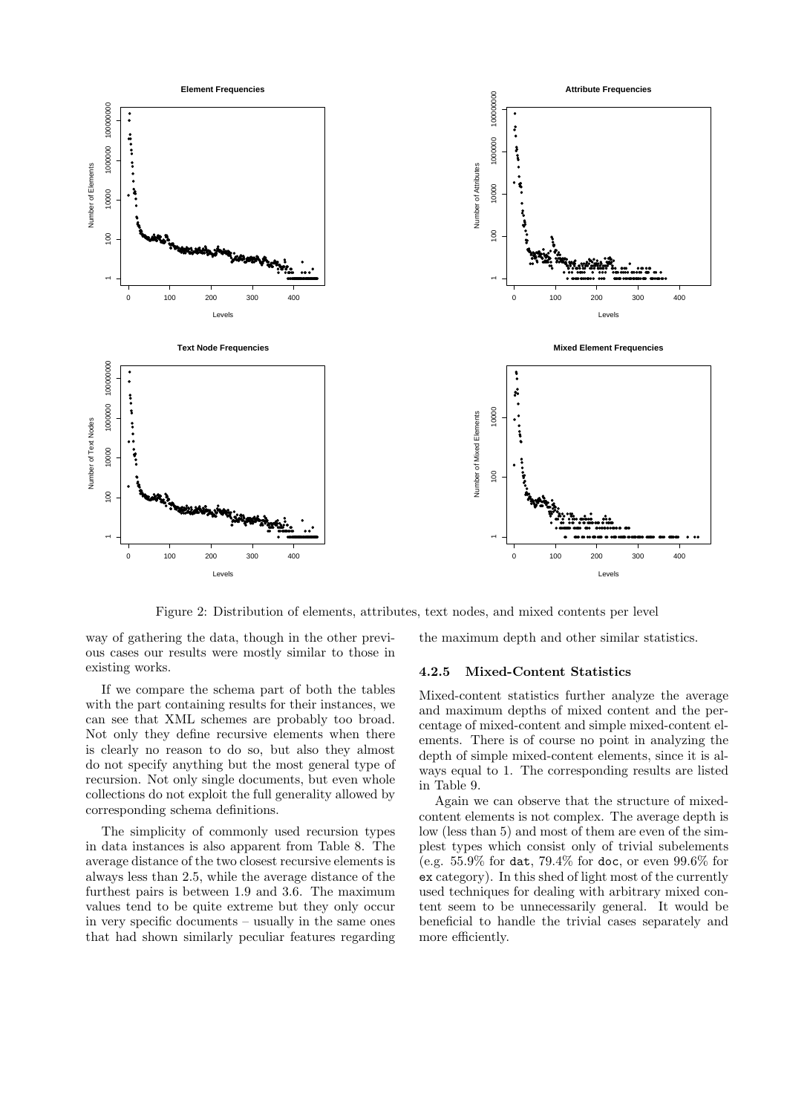

Figure 2: Distribution of elements, attributes, text nodes, and mixed contents per level

way of gathering the data, though in the other previous cases our results were mostly similar to those in existing works.

If we compare the schema part of both the tables with the part containing results for their instances, we can see that XML schemes are probably too broad. Not only they define recursive elements when there is clearly no reason to do so, but also they almost do not specify anything but the most general type of recursion. Not only single documents, but even whole collections do not exploit the full generality allowed by corresponding schema definitions.

The simplicity of commonly used recursion types in data instances is also apparent from Table 8. The average distance of the two closest recursive elements is always less than 2.5, while the average distance of the furthest pairs is between 1.9 and 3.6. The maximum values tend to be quite extreme but they only occur in very specific documents – usually in the same ones that had shown similarly peculiar features regarding the maximum depth and other similar statistics.

#### 4.2.5 Mixed-Content Statistics

Mixed-content statistics further analyze the average and maximum depths of mixed content and the percentage of mixed-content and simple mixed-content elements. There is of course no point in analyzing the depth of simple mixed-content elements, since it is always equal to 1. The corresponding results are listed in Table 9.

Again we can observe that the structure of mixedcontent elements is not complex. The average depth is low (less than 5) and most of them are even of the simplest types which consist only of trivial subelements (e.g. 55.9% for dat, 79.4% for doc, or even 99.6% for ex category). In this shed of light most of the currently used techniques for dealing with arbitrary mixed content seem to be unnecessarily general. It would be beneficial to handle the trivial cases separately and more efficiently.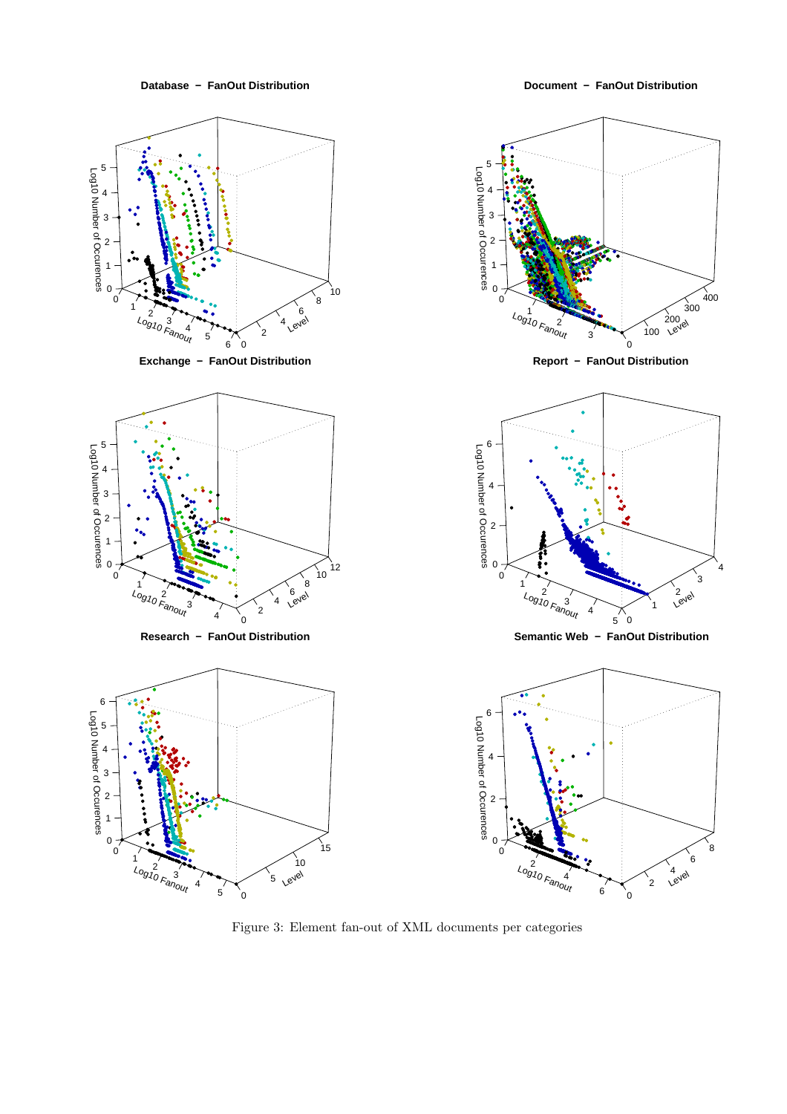

Document - FanOut Distribution



Figure 3: Element fan-out of XML documents per categories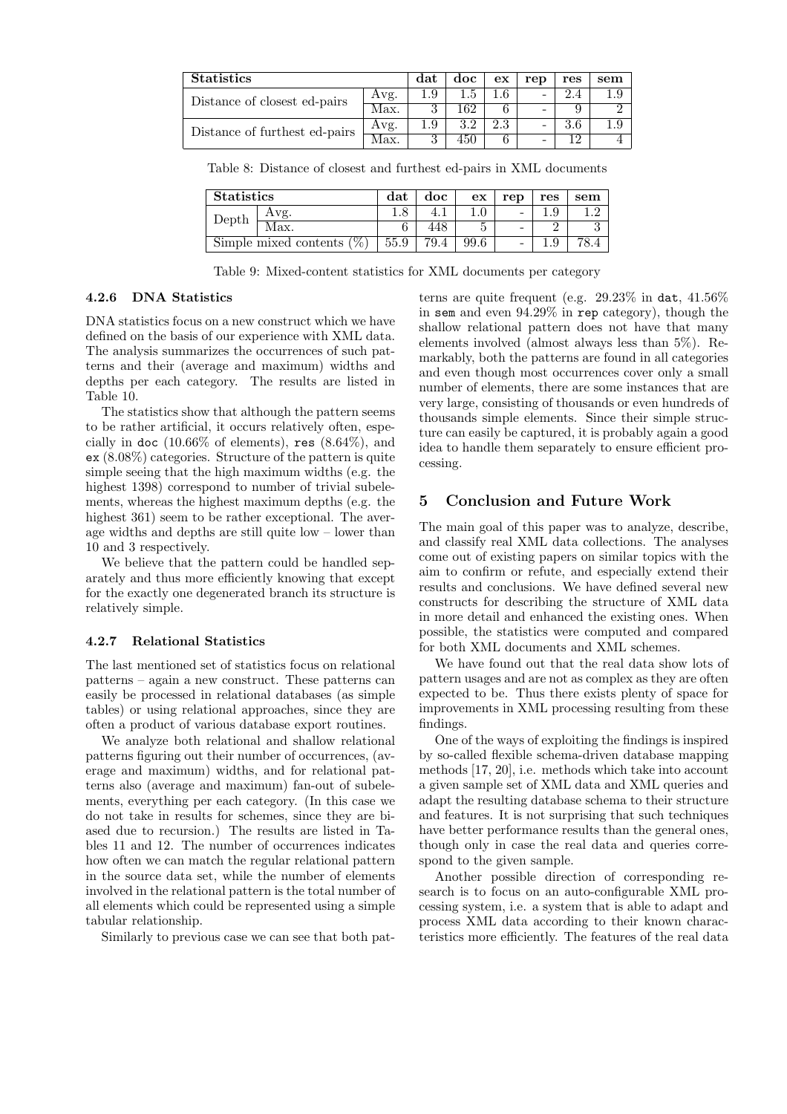| <b>Statistics</b>             |      |     | doc | ex  | rep | res | sem  |
|-------------------------------|------|-----|-----|-----|-----|-----|------|
| Distance of closest ed-pairs  | Avg. | 1.9 | 1.5 | 1.6 |     |     | l .9 |
|                               | Max. |     | 162 |     |     |     |      |
| Distance of furthest ed-pairs | Avg. |     | 3.2 | 2.3 |     | 3.6 | 1.9  |
|                               | Max. |     | 450 |     |     | റ   |      |

Table 8: Distance of closest and furthest ed-pairs in XML documents

| <b>Statistics</b>            |      | dat  | doc | ex   | rep             | res | sem |
|------------------------------|------|------|-----|------|-----------------|-----|-----|
| Depth                        | Avg. |      |     |      | $\qquad \qquad$ |     |     |
|                              | Max. |      |     |      | -               |     |     |
| Simple mixed contents $(\%)$ |      | 55.9 |     | 99.6 | $\qquad \qquad$ |     |     |

Table 9: Mixed-content statistics for XML documents per category

#### 4.2.6 DNA Statistics

DNA statistics focus on a new construct which we have defined on the basis of our experience with XML data. The analysis summarizes the occurrences of such patterns and their (average and maximum) widths and depths per each category. The results are listed in Table 10.

The statistics show that although the pattern seems to be rather artificial, it occurs relatively often, especially in doc  $(10.66\% \text{ of elements})$ , res  $(8.64\%)$ , and ex (8.08%) categories. Structure of the pattern is quite simple seeing that the high maximum widths (e.g. the highest 1398) correspond to number of trivial subelements, whereas the highest maximum depths (e.g. the highest 361) seem to be rather exceptional. The average widths and depths are still quite low – lower than 10 and 3 respectively.

We believe that the pattern could be handled separately and thus more efficiently knowing that except for the exactly one degenerated branch its structure is relatively simple.

#### 4.2.7 Relational Statistics

The last mentioned set of statistics focus on relational patterns – again a new construct. These patterns can easily be processed in relational databases (as simple tables) or using relational approaches, since they are often a product of various database export routines.

We analyze both relational and shallow relational patterns figuring out their number of occurrences, (average and maximum) widths, and for relational patterns also (average and maximum) fan-out of subelements, everything per each category. (In this case we do not take in results for schemes, since they are biased due to recursion.) The results are listed in Tables 11 and 12. The number of occurrences indicates how often we can match the regular relational pattern in the source data set, while the number of elements involved in the relational pattern is the total number of all elements which could be represented using a simple tabular relationship.

Similarly to previous case we can see that both pat-

terns are quite frequent (e.g.  $29.23\%$  in dat,  $41.56\%$ in sem and even 94.29% in rep category), though the shallow relational pattern does not have that many elements involved (almost always less than 5%). Remarkably, both the patterns are found in all categories and even though most occurrences cover only a small number of elements, there are some instances that are very large, consisting of thousands or even hundreds of thousands simple elements. Since their simple structure can easily be captured, it is probably again a good idea to handle them separately to ensure efficient processing.

# 5 Conclusion and Future Work

The main goal of this paper was to analyze, describe, and classify real XML data collections. The analyses come out of existing papers on similar topics with the aim to confirm or refute, and especially extend their results and conclusions. We have defined several new constructs for describing the structure of XML data in more detail and enhanced the existing ones. When possible, the statistics were computed and compared for both XML documents and XML schemes.

We have found out that the real data show lots of pattern usages and are not as complex as they are often expected to be. Thus there exists plenty of space for improvements in XML processing resulting from these findings.

One of the ways of exploiting the findings is inspired by so-called flexible schema-driven database mapping methods [17, 20], i.e. methods which take into account a given sample set of XML data and XML queries and adapt the resulting database schema to their structure and features. It is not surprising that such techniques have better performance results than the general ones, though only in case the real data and queries correspond to the given sample.

Another possible direction of corresponding research is to focus on an auto-configurable XML processing system, i.e. a system that is able to adapt and process XML data according to their known characteristics more efficiently. The features of the real data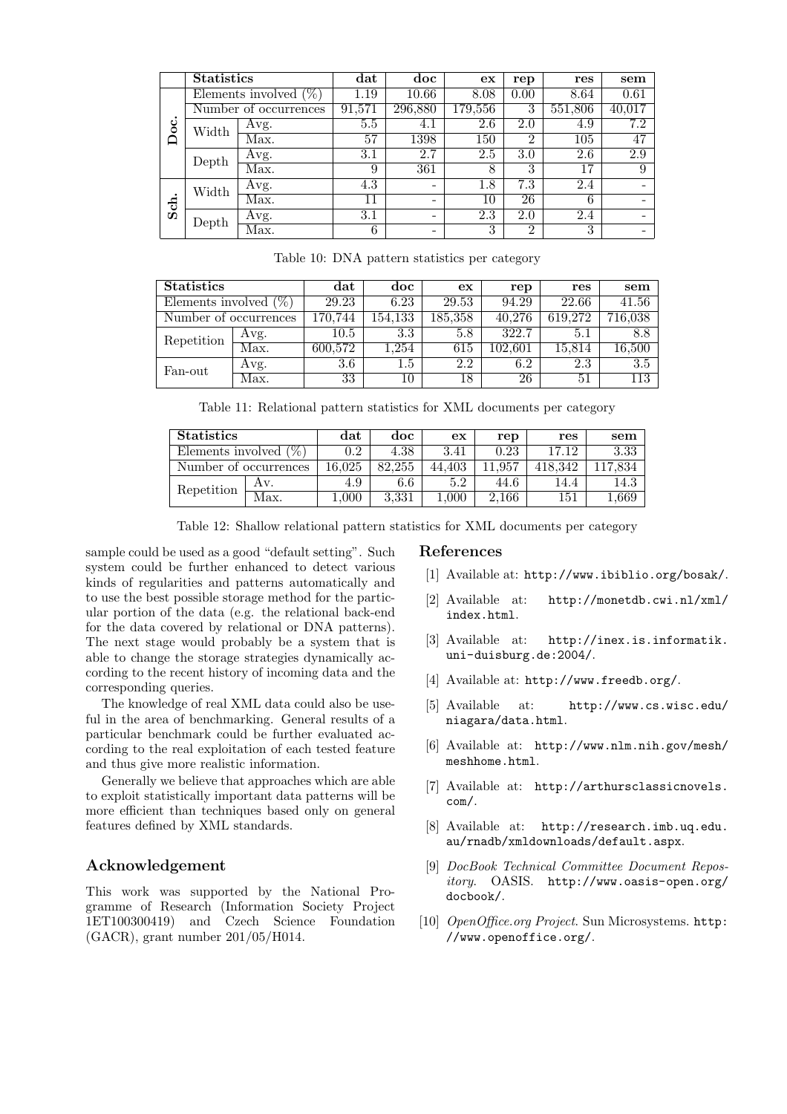|                | <b>Statistics</b> |                          | $_{\rm dat}$ | doc                      | ex               | rep             | res     | sem                      |
|----------------|-------------------|--------------------------|--------------|--------------------------|------------------|-----------------|---------|--------------------------|
|                |                   | Elements involved $(\%)$ |              | 10.66                    | 8.08             | 0.00            | 8.64    | 0.61                     |
| ٠              |                   | Number of occurrences    | 91,571       | 296,880                  | 179,556          | 3               | 551,806 | 40,017                   |
| $\mathbf{Doc}$ | Width             | Avg.                     | 5.5          | 4.1                      | 2.6              | 2.0             | 4.9     | 7.2                      |
|                |                   | Max.                     | 57           | 1398                     | 150              | $\overline{2}$  | 105     | 47                       |
|                | Depth             | Avg.                     | 3.1          | 2.7                      | 2.5              | 3.0             | 2.6     | 2.9                      |
|                |                   | Max.                     | 9            | 361                      | 8                | 3               | 17      | 9                        |
|                | Width             | Avg.                     | 4.3          | -                        | 1.8              | 7.3             | 2.4     |                          |
| Sch            |                   | Max.                     | 11           | -                        | 10               | $2\overline{6}$ | 6       |                          |
|                | Depth             | Avg.                     | 3.1          | $\overline{\phantom{a}}$ | $\overline{2.3}$ | 2.0             | 2.4     |                          |
|                |                   | Max.                     | 6            | -                        | 3                | $\overline{2}$  | 3       | $\overline{\phantom{0}}$ |

Table 10: DNA pattern statistics per category

| <b>Statistics</b>        |      | $_{\rm dat}$ | doc     | ex      | rep     | res     | sem     |
|--------------------------|------|--------------|---------|---------|---------|---------|---------|
| Elements involved $(\%)$ |      | 29.23        | 6.23    | 29.53   | 94.29   | 22.66   | 41.56   |
| Number of occurrences    |      | 170.744      | 154,133 | 185,358 | 40.276  | 619.272 | 716,038 |
| Repetition               | Avg. | $10.5\,$     | 3.3     | 5.8     | 322.7   | $5.1\,$ | 8.8     |
|                          | Max. | 600,572      | 1.254   | 615     | 102.601 | 15,814  | 16,500  |
| Fan-out                  | Avg. | 3.6          | $1.5\,$ | 2.2     | 6.2     | 2.3     | 3.5     |
|                          | Max. | 33           | 10      | 18      | 26      | 51      | 113     |

Table 11: Relational pattern statistics for XML documents per category

| <b>Statistics</b>            |      | dat    | doc    | ex     | rep    | res     | sem      |
|------------------------------|------|--------|--------|--------|--------|---------|----------|
| $(\% )$<br>Elements involved |      | 0.2    | 4.38   | 3.41   | 0.23   | 17 19   | $3.33\,$ |
| Number of occurrences        |      | 16.025 | 82.255 | 44.403 | 11.957 | 418.342 |          |
| Repetition                   | Av.  | 4.9    | -6.6   | 5.2    | 44.6   | 14.4    | 14.3     |
|                              | Max. | 000.1  | 3.331  | .000   | 2.166  | 151     | .669     |

Table 12: Shallow relational pattern statistics for XML documents per category

sample could be used as a good "default setting". Such system could be further enhanced to detect various kinds of regularities and patterns automatically and to use the best possible storage method for the particular portion of the data (e.g. the relational back-end for the data covered by relational or DNA patterns). The next stage would probably be a system that is able to change the storage strategies dynamically according to the recent history of incoming data and the corresponding queries.

The knowledge of real XML data could also be useful in the area of benchmarking. General results of a particular benchmark could be further evaluated according to the real exploitation of each tested feature and thus give more realistic information.

Generally we believe that approaches which are able to exploit statistically important data patterns will be more efficient than techniques based only on general features defined by XML standards.

# Acknowledgement

This work was supported by the National Programme of Research (Information Society Project 1ET100300419) and Czech Science Foundation (GACR), grant number 201/05/H014.

#### References

- [1] Available at: http://www.ibiblio.org/bosak/.
- [2] Available at: http://monetdb.cwi.nl/xml/ index.html.
- [3] Available at: http://inex.is.informatik. uni-duisburg.de:2004/.
- [4] Available at: http://www.freedb.org/.
- [5] Available at: http://www.cs.wisc.edu/ niagara/data.html.
- [6] Available at: http://www.nlm.nih.gov/mesh/ meshhome.html.
- [7] Available at: http://arthursclassicnovels. com/.
- [8] Available at: http://research.imb.uq.edu. au/rnadb/xmldownloads/default.aspx.
- [9] DocBook Technical Committee Document Repository. OASIS. http://www.oasis-open.org/ docbook/.
- [10] *OpenOffice.org Project.* Sun Microsystems. http: //www.openoffice.org/.